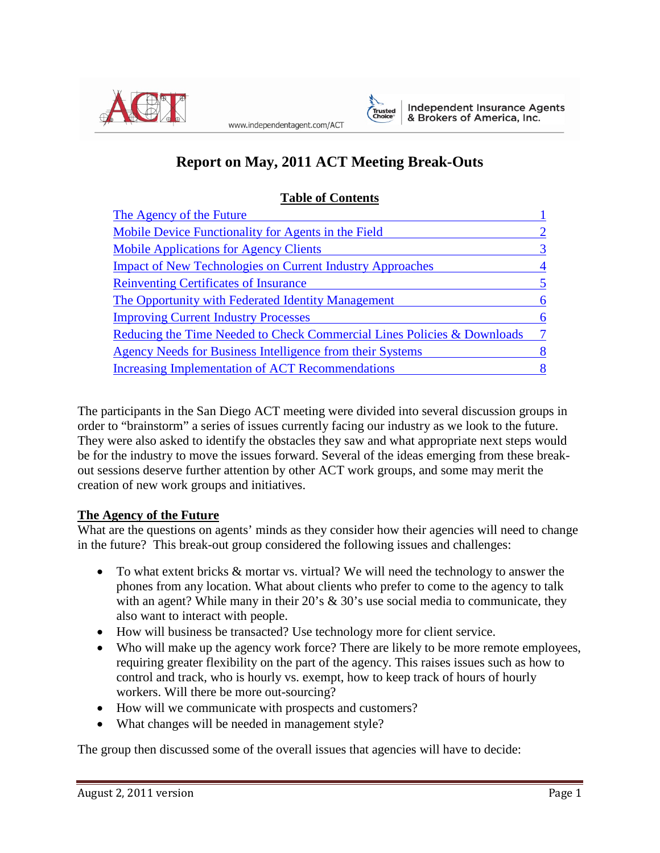



# **Report on May, 2011 ACT Meeting Break-Outs**

### **Table of Contents**

| The Agency of the Future                                                |                |
|-------------------------------------------------------------------------|----------------|
| Mobile Device Functionality for Agents in the Field                     | 2              |
| <b>Mobile Applications for Agency Clients</b>                           | $\overline{3}$ |
| <b>Impact of New Technologies on Current Industry Approaches</b>        | $\overline{4}$ |
| <b>Reinventing Certificates of Insurance</b>                            | 5              |
| The Opportunity with Federated Identity Management                      | 6              |
| <b>Improving Current Industry Processes</b>                             | 6              |
| Reducing the Time Needed to Check Commercial Lines Policies & Downloads | $\tau$         |
| Agency Needs for Business Intelligence from their Systems               |                |
| <b>Increasing Implementation of ACT Recommendations</b>                 |                |

The participants in the San Diego ACT meeting were divided into several discussion groups in order to "brainstorm" a series of issues currently facing our industry as we look to the future. They were also asked to identify the obstacles they saw and what appropriate next steps would be for the industry to move the issues forward. Several of the ideas emerging from these breakout sessions deserve further attention by other ACT work groups, and some may merit the creation of new work groups and initiatives.

#### <span id="page-0-0"></span>**The Agency of the Future**

What are the questions on agents' minds as they consider how their agencies will need to change in the future? This break-out group considered the following issues and challenges:

- To what extent bricks & mortar vs. virtual? We will need the technology to answer the phones from any location. What about clients who prefer to come to the agency to talk with an agent? While many in their 20's  $\&$  30's use social media to communicate, they also want to interact with people.
- How will business be transacted? Use technology more for client service.
- Who will make up the agency work force? There are likely to be more remote employees, requiring greater flexibility on the part of the agency. This raises issues such as how to control and track, who is hourly vs. exempt, how to keep track of hours of hourly workers. Will there be more out-sourcing?
- How will we communicate with prospects and customers?
- What changes will be needed in management style?

The group then discussed some of the overall issues that agencies will have to decide: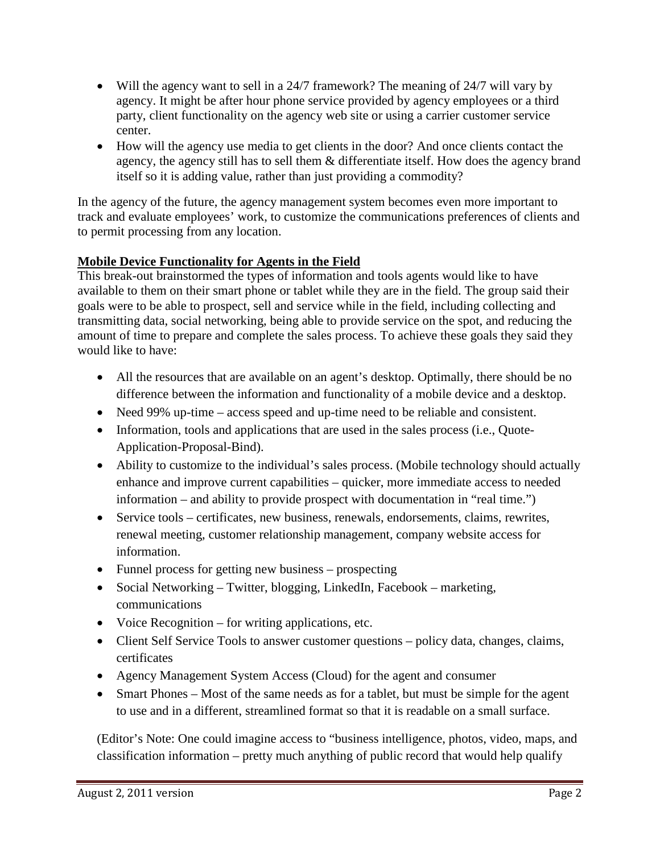- Will the agency want to sell in a 24/7 framework? The meaning of 24/7 will vary by agency. It might be after hour phone service provided by agency employees or a third party, client functionality on the agency web site or using a carrier customer service center.
- How will the agency use media to get clients in the door? And once clients contact the agency, the agency still has to sell them & differentiate itself. How does the agency brand itself so it is adding value, rather than just providing a commodity?

In the agency of the future, the agency management system becomes even more important to track and evaluate employees' work, to customize the communications preferences of clients and to permit processing from any location.

### <span id="page-1-0"></span>**Mobile Device Functionality for Agents in the Field**

This break-out brainstormed the types of information and tools agents would like to have available to them on their smart phone or tablet while they are in the field. The group said their goals were to be able to prospect, sell and service while in the field, including collecting and transmitting data, social networking, being able to provide service on the spot, and reducing the amount of time to prepare and complete the sales process. To achieve these goals they said they would like to have:

- All the resources that are available on an agent's desktop. Optimally, there should be no difference between the information and functionality of a mobile device and a desktop.
- Need 99% up-time access speed and up-time need to be reliable and consistent.
- Information, tools and applications that are used in the sales process (i.e., Quote-Application-Proposal-Bind).
- Ability to customize to the individual's sales process. (Mobile technology should actually enhance and improve current capabilities – quicker, more immediate access to needed information – and ability to provide prospect with documentation in "real time.")
- Service tools certificates, new business, renewals, endorsements, claims, rewrites, renewal meeting, customer relationship management, company website access for information.
- Funnel process for getting new business prospecting
- Social Networking Twitter, blogging, LinkedIn, Facebook marketing, communications
- Voice Recognition for writing applications, etc.
- Client Self Service Tools to answer customer questions policy data, changes, claims, certificates
- Agency Management System Access (Cloud) for the agent and consumer
- Smart Phones Most of the same needs as for a tablet, but must be simple for the agent to use and in a different, streamlined format so that it is readable on a small surface.

(Editor's Note: One could imagine access to "business intelligence, photos, video, maps, and classification information – pretty much anything of public record that would help qualify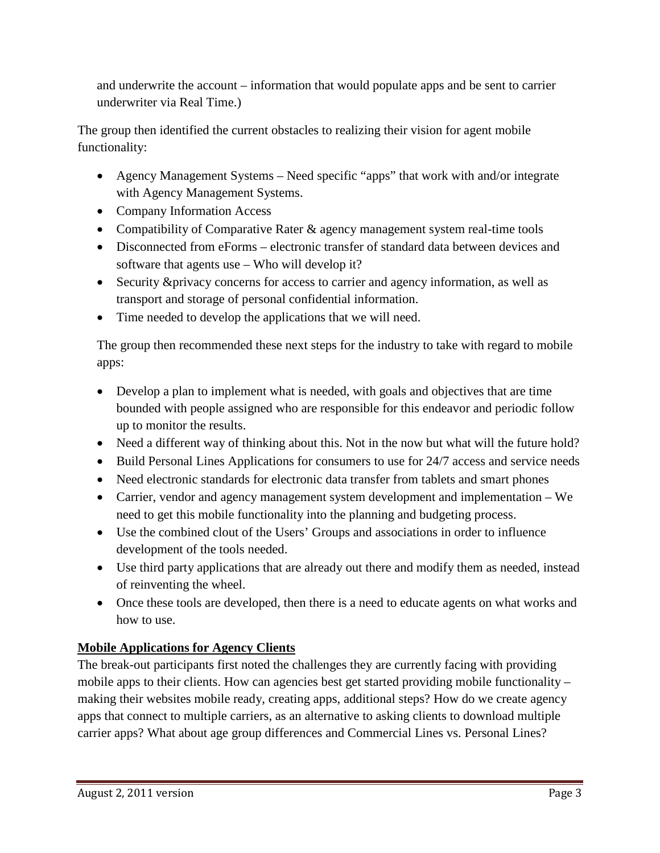and underwrite the account – information that would populate apps and be sent to carrier underwriter via Real Time.)

The group then identified the current obstacles to realizing their vision for agent mobile functionality:

- Agency Management Systems Need specific "apps" that work with and/or integrate with Agency Management Systems.
- Company Information Access
- Compatibility of Comparative Rater & agency management system real-time tools
- Disconnected from eForms electronic transfer of standard data between devices and software that agents use – Who will develop it?
- Security &privacy concerns for access to carrier and agency information, as well as transport and storage of personal confidential information.
- Time needed to develop the applications that we will need.

The group then recommended these next steps for the industry to take with regard to mobile apps:

- Develop a plan to implement what is needed, with goals and objectives that are time bounded with people assigned who are responsible for this endeavor and periodic follow up to monitor the results.
- Need a different way of thinking about this. Not in the now but what will the future hold?
- Build Personal Lines Applications for consumers to use for 24/7 access and service needs
- Need electronic standards for electronic data transfer from tablets and smart phones
- Carrier, vendor and agency management system development and implementation We need to get this mobile functionality into the planning and budgeting process.
- Use the combined clout of the Users' Groups and associations in order to influence development of the tools needed.
- Use third party applications that are already out there and modify them as needed, instead of reinventing the wheel.
- Once these tools are developed, then there is a need to educate agents on what works and how to use.

# <span id="page-2-0"></span>**Mobile Applications for Agency Clients**

The break-out participants first noted the challenges they are currently facing with providing mobile apps to their clients. How can agencies best get started providing mobile functionality – making their websites mobile ready, creating apps, additional steps? How do we create agency apps that connect to multiple carriers, as an alternative to asking clients to download multiple carrier apps? What about age group differences and Commercial Lines vs. Personal Lines?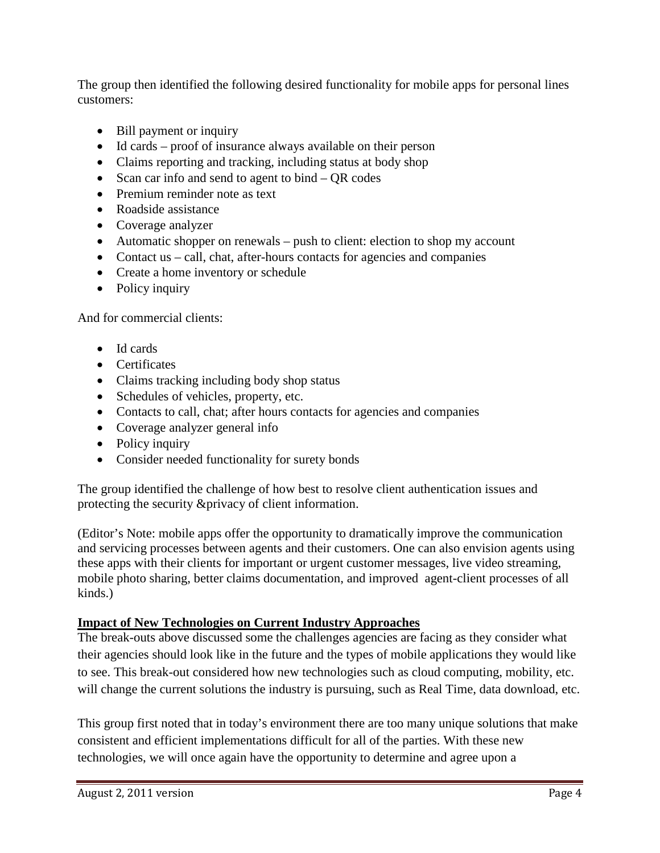The group then identified the following desired functionality for mobile apps for personal lines customers:

- Bill payment or inquiry
- Id cards proof of insurance always available on their person
- Claims reporting and tracking, including status at body shop
- Scan car info and send to agent to bind QR codes
- Premium reminder note as text
- Roadside assistance
- Coverage analyzer
- Automatic shopper on renewals push to client: election to shop my account
- Contact us call, chat, after-hours contacts for agencies and companies
- Create a home inventory or schedule
- Policy inquiry

And for commercial clients:

- Id cards
- Certificates
- Claims tracking including body shop status
- Schedules of vehicles, property, etc.
- Contacts to call, chat; after hours contacts for agencies and companies
- Coverage analyzer general info
- Policy inquiry
- Consider needed functionality for surety bonds

The group identified the challenge of how best to resolve client authentication issues and protecting the security &privacy of client information.

(Editor's Note: mobile apps offer the opportunity to dramatically improve the communication and servicing processes between agents and their customers. One can also envision agents using these apps with their clients for important or urgent customer messages, live video streaming, mobile photo sharing, better claims documentation, and improved agent-client processes of all kinds.)

#### <span id="page-3-0"></span>**Impact of New Technologies on Current Industry Approaches**

The break-outs above discussed some the challenges agencies are facing as they consider what their agencies should look like in the future and the types of mobile applications they would like to see. This break-out considered how new technologies such as cloud computing, mobility, etc. will change the current solutions the industry is pursuing, such as Real Time, data download, etc.

This group first noted that in today's environment there are too many unique solutions that make consistent and efficient implementations difficult for all of the parties. With these new technologies, we will once again have the opportunity to determine and agree upon a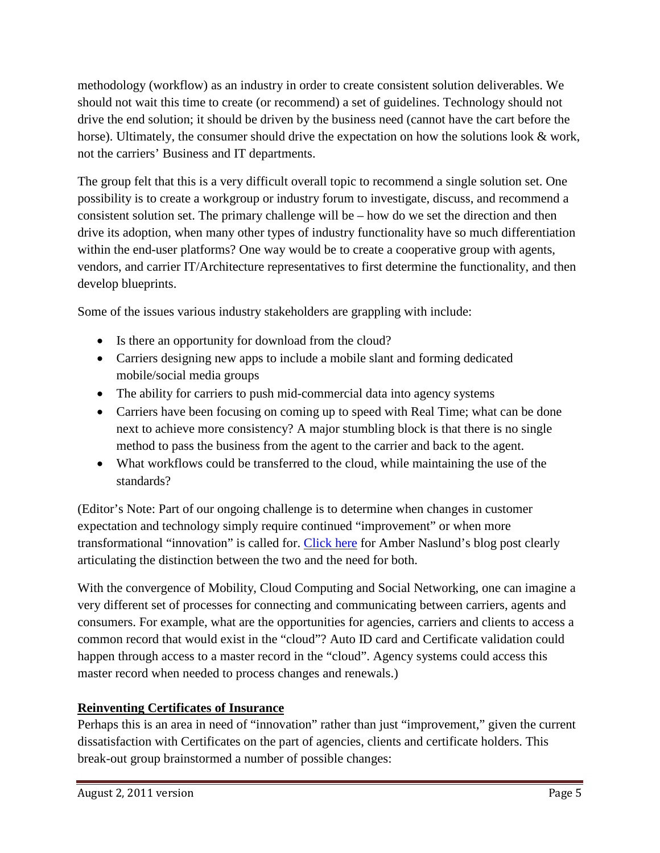methodology (workflow) as an industry in order to create consistent solution deliverables. We should not wait this time to create (or recommend) a set of guidelines. Technology should not drive the end solution; it should be driven by the business need (cannot have the cart before the horse). Ultimately, the consumer should drive the expectation on how the solutions look & work, not the carriers' Business and IT departments.

The group felt that this is a very difficult overall topic to recommend a single solution set. One possibility is to create a workgroup or industry forum to investigate, discuss, and recommend a consistent solution set. The primary challenge will be – how do we set the direction and then drive its adoption, when many other types of industry functionality have so much differentiation within the end-user platforms? One way would be to create a cooperative group with agents, vendors, and carrier IT/Architecture representatives to first determine the functionality, and then develop blueprints.

Some of the issues various industry stakeholders are grappling with include:

- Is there an opportunity for download from the cloud?
- Carriers designing new apps to include a mobile slant and forming dedicated mobile/social media groups
- The ability for carriers to push mid-commercial data into agency systems
- Carriers have been focusing on coming up to speed with Real Time; what can be done next to achieve more consistency? A major stumbling block is that there is no single method to pass the business from the agent to the carrier and back to the agent.
- What workflows could be transferred to the cloud, while maintaining the use of the standards?

(Editor's Note: Part of our ongoing challenge is to determine when changes in customer expectation and technology simply require continued "improvement" or when more transformational "innovation" is called for. [Click here](http://www.brasstackthinking.com/2011/06/the-need-for-both-improvement-and-innovation/?utm_source=feedburner&utm_medium=email&utm_campaign=Feed%3A+TheBrandBox+%28Brass+Tack+Thinking%29) for Amber Naslund's blog post clearly articulating the distinction between the two and the need for both.

With the convergence of Mobility, Cloud Computing and Social Networking, one can imagine a very different set of processes for connecting and communicating between carriers, agents and consumers. For example, what are the opportunities for agencies, carriers and clients to access a common record that would exist in the "cloud"? Auto ID card and Certificate validation could happen through access to a master record in the "cloud". Agency systems could access this master record when needed to process changes and renewals.)

# <span id="page-4-0"></span>**Reinventing Certificates of Insurance**

Perhaps this is an area in need of "innovation" rather than just "improvement," given the current dissatisfaction with Certificates on the part of agencies, clients and certificate holders. This break-out group brainstormed a number of possible changes: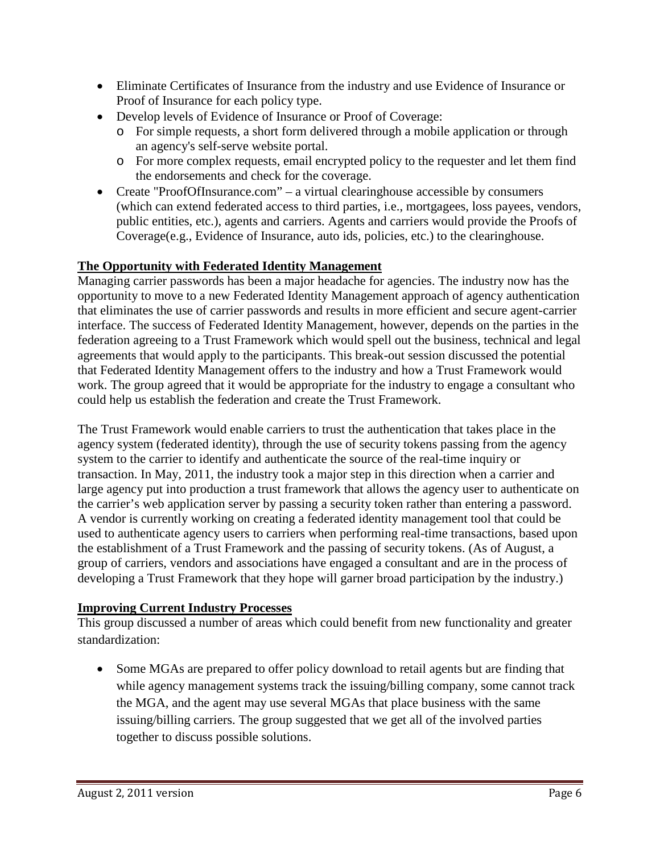- Eliminate Certificates of Insurance from the industry and use Evidence of Insurance or Proof of Insurance for each policy type.
- Develop levels of Evidence of Insurance or Proof of Coverage:
	- o For simple requests, a short form delivered through a mobile application or through an agency's self-serve website portal.
	- o For more complex requests, email encrypted policy to the requester and let them find the endorsements and check for the coverage.
- Create "ProofOfInsurance.com" a virtual clearinghouse accessible by consumers (which can extend federated access to third parties, i.e., mortgagees, loss payees, vendors, public entities, etc.), agents and carriers. Agents and carriers would provide the Proofs of Coverage(e.g., Evidence of Insurance, auto ids, policies, etc.) to the clearinghouse.

## <span id="page-5-0"></span>**The Opportunity with Federated Identity Management**

Managing carrier passwords has been a major headache for agencies. The industry now has the opportunity to move to a new Federated Identity Management approach of agency authentication that eliminates the use of carrier passwords and results in more efficient and secure agent-carrier interface. The success of Federated Identity Management, however, depends on the parties in the federation agreeing to a Trust Framework which would spell out the business, technical and legal agreements that would apply to the participants. This break-out session discussed the potential that Federated Identity Management offers to the industry and how a Trust Framework would work. The group agreed that it would be appropriate for the industry to engage a consultant who could help us establish the federation and create the Trust Framework.

The Trust Framework would enable carriers to trust the authentication that takes place in the agency system (federated identity), through the use of security tokens passing from the agency system to the carrier to identify and authenticate the source of the real-time inquiry or transaction. In May, 2011, the industry took a major step in this direction when a carrier and large agency put into production a trust framework that allows the agency user to authenticate on the carrier's web application server by passing a security token rather than entering a password. A vendor is currently working on creating a federated identity management tool that could be used to authenticate agency users to carriers when performing real-time transactions, based upon the establishment of a Trust Framework and the passing of security tokens. (As of August, a group of carriers, vendors and associations have engaged a consultant and are in the process of developing a Trust Framework that they hope will garner broad participation by the industry.)

### <span id="page-5-1"></span>**Improving Current Industry Processes**

This group discussed a number of areas which could benefit from new functionality and greater standardization:

• Some MGAs are prepared to offer policy download to retail agents but are finding that while agency management systems track the issuing/billing company, some cannot track the MGA, and the agent may use several MGAs that place business with the same issuing/billing carriers. The group suggested that we get all of the involved parties together to discuss possible solutions.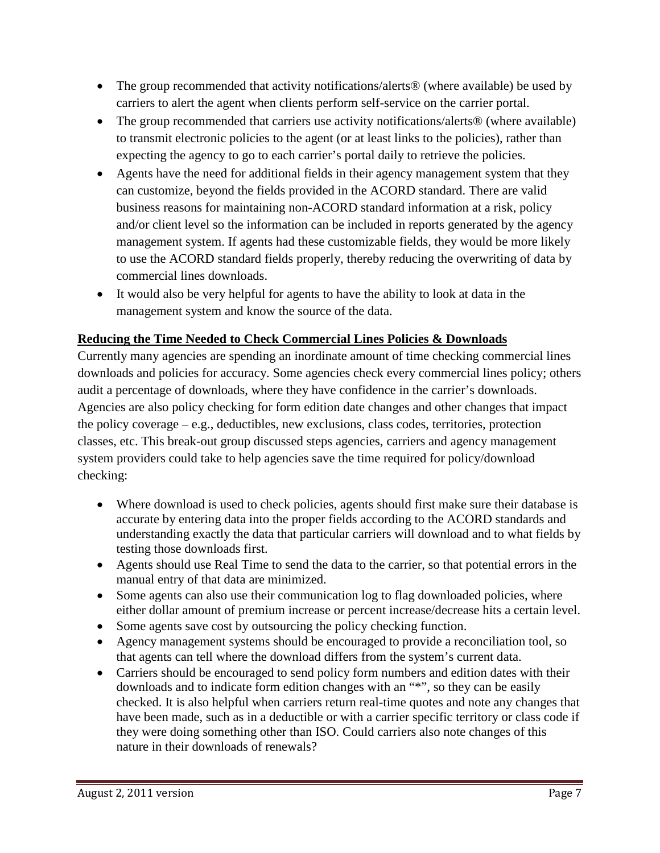- The group recommended that activity notifications/alerts<sup>®</sup> (where available) be used by carriers to alert the agent when clients perform self-service on the carrier portal.
- The group recommended that carriers use activity notifications/alerts<sup>®</sup> (where available) to transmit electronic policies to the agent (or at least links to the policies), rather than expecting the agency to go to each carrier's portal daily to retrieve the policies.
- Agents have the need for additional fields in their agency management system that they can customize, beyond the fields provided in the ACORD standard. There are valid business reasons for maintaining non-ACORD standard information at a risk, policy and/or client level so the information can be included in reports generated by the agency management system. If agents had these customizable fields, they would be more likely to use the ACORD standard fields properly, thereby reducing the overwriting of data by commercial lines downloads.
- It would also be very helpful for agents to have the ability to look at data in the management system and know the source of the data.

### <span id="page-6-0"></span>**Reducing the Time Needed to Check Commercial Lines Policies & Downloads**

Currently many agencies are spending an inordinate amount of time checking commercial lines downloads and policies for accuracy. Some agencies check every commercial lines policy; others audit a percentage of downloads, where they have confidence in the carrier's downloads. Agencies are also policy checking for form edition date changes and other changes that impact the policy coverage – e.g., deductibles, new exclusions, class codes, territories, protection classes, etc. This break-out group discussed steps agencies, carriers and agency management system providers could take to help agencies save the time required for policy/download checking:

- Where download is used to check policies, agents should first make sure their database is accurate by entering data into the proper fields according to the ACORD standards and understanding exactly the data that particular carriers will download and to what fields by testing those downloads first.
- Agents should use Real Time to send the data to the carrier, so that potential errors in the manual entry of that data are minimized.
- Some agents can also use their communication log to flag downloaded policies, where either dollar amount of premium increase or percent increase/decrease hits a certain level.
- Some agents save cost by outsourcing the policy checking function.
- Agency management systems should be encouraged to provide a reconciliation tool, so that agents can tell where the download differs from the system's current data.
- Carriers should be encouraged to send policy form numbers and edition dates with their downloads and to indicate form edition changes with an "\*", so they can be easily checked. It is also helpful when carriers return real-time quotes and note any changes that have been made, such as in a deductible or with a carrier specific territory or class code if they were doing something other than ISO. Could carriers also note changes of this nature in their downloads of renewals?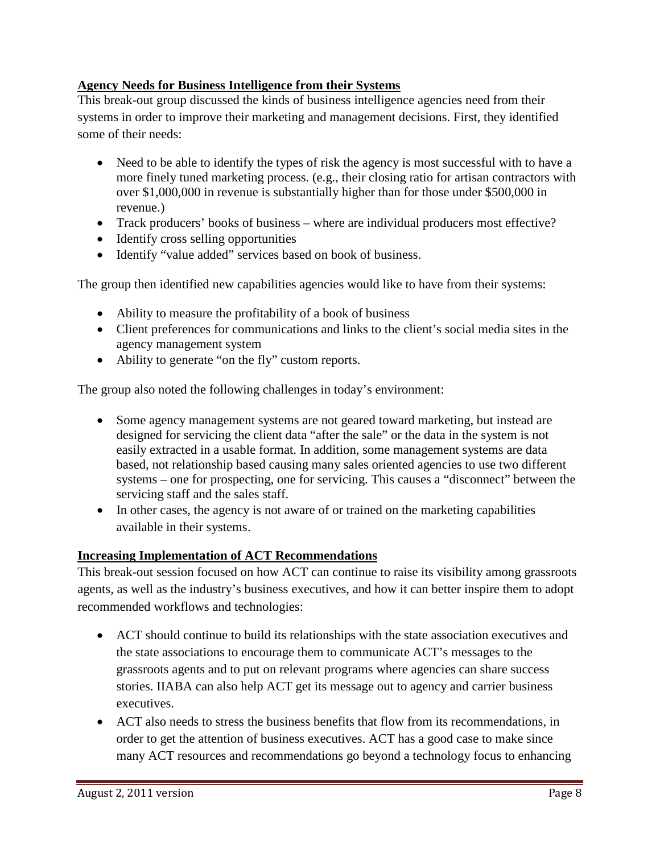### <span id="page-7-0"></span>**Agency Needs for Business Intelligence from their Systems**

This break-out group discussed the kinds of business intelligence agencies need from their systems in order to improve their marketing and management decisions. First, they identified some of their needs:

- Need to be able to identify the types of risk the agency is most successful with to have a more finely tuned marketing process. (e.g., their closing ratio for artisan contractors with over \$1,000,000 in revenue is substantially higher than for those under \$500,000 in revenue.)
- Track producers' books of business where are individual producers most effective?
- Identify cross selling opportunities
- Identify "value added" services based on book of business.

The group then identified new capabilities agencies would like to have from their systems:

- Ability to measure the profitability of a book of business
- Client preferences for communications and links to the client's social media sites in the agency management system
- Ability to generate "on the fly" custom reports.

The group also noted the following challenges in today's environment:

- Some agency management systems are not geared toward marketing, but instead are designed for servicing the client data "after the sale" or the data in the system is not easily extracted in a usable format. In addition, some management systems are data based, not relationship based causing many sales oriented agencies to use two different systems – one for prospecting, one for servicing. This causes a "disconnect" between the servicing staff and the sales staff.
- In other cases, the agency is not aware of or trained on the marketing capabilities available in their systems.

#### <span id="page-7-1"></span>**Increasing Implementation of ACT Recommendations**

This break-out session focused on how ACT can continue to raise its visibility among grassroots agents, as well as the industry's business executives, and how it can better inspire them to adopt recommended workflows and technologies:

- ACT should continue to build its relationships with the state association executives and the state associations to encourage them to communicate ACT's messages to the grassroots agents and to put on relevant programs where agencies can share success stories. IIABA can also help ACT get its message out to agency and carrier business executives.
- ACT also needs to stress the business benefits that flow from its recommendations, in order to get the attention of business executives. ACT has a good case to make since many ACT resources and recommendations go beyond a technology focus to enhancing